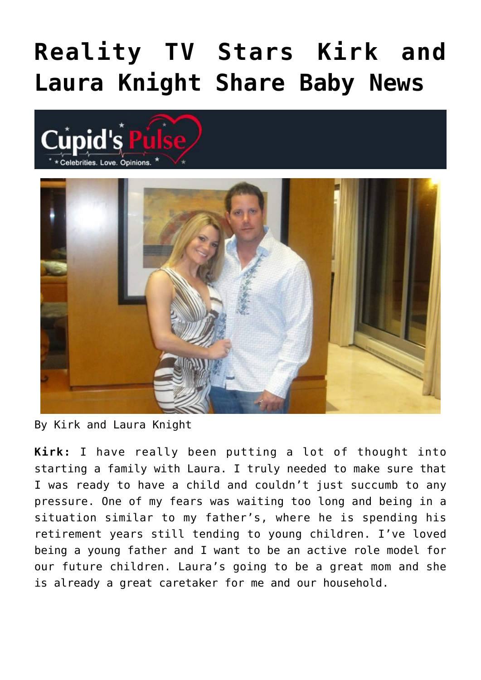## **[Reality TV Stars Kirk and](https://cupidspulse.com/90597/reality-tv-stars-kirk-laura-knight-baby-news/) [Laura Knight Share Baby News](https://cupidspulse.com/90597/reality-tv-stars-kirk-laura-knight-baby-news/)**





By Kirk and Laura Knight

**Kirk:** I have really been putting a lot of thought into starting a family with Laura. I truly needed to make sure that I was ready to have a child and couldn't just succumb to any pressure. One of my fears was waiting too long and being in a situation similar to my father's, where he is spending his retirement years still tending to young children. I've loved being a young father and I want to be an active role model for our future children. Laura's going to be a great mom and she is already a great caretaker for me and our household.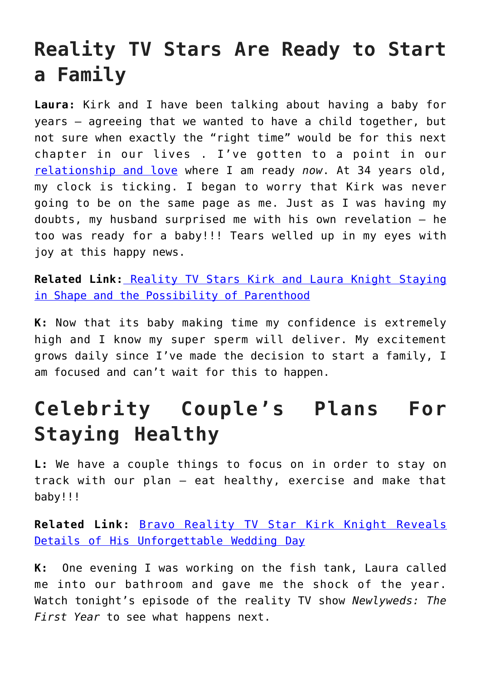## **Reality TV Stars Are Ready to Start a Family**

**Laura:** Kirk and I have been talking about having a baby for years – agreeing that we wanted to have a child together, but not sure when exactly the "right time" would be for this next chapter in our lives . I've gotten to a point in our [relationship and love](http://cupidspulse.com/celebrity-relationships/long-term-relationships-flings/) where I am ready *now*. At 34 years old, my clock is ticking. I began to worry that Kirk was never going to be on the same page as me. Just as I was having my doubts, my husband surprised me with his own revelation – he too was ready for a baby!!! Tears welled up in my eyes with joy at this happy news.

**Related Link:** [Reality TV Stars Kirk and Laura Knight Staying](http://cupidspulse.com/90128/reality-tv-stars-kirk-and-laura-knight-parenthood/) [in Shape and the Possibility of Parenthood](http://cupidspulse.com/90128/reality-tv-stars-kirk-and-laura-knight-parenthood/)

**K:** Now that its baby making time my confidence is extremely high and I know my super sperm will deliver. My excitement grows daily since I've made the decision to start a family, I am focused and can't wait for this to happen.

## **Celebrity Couple's Plans For Staying Healthy**

**L:** We have a couple things to focus on in order to stay on track with our plan – eat healthy, exercise and make that baby!!!

**Related Link:** [Bravo Reality TV Star Kirk Knight Reveals](http://cupidspulse.com/88974/bravo-reality-tv-star-kirk-knight-wedding-day/) [Details of His Unforgettable Wedding Day](http://cupidspulse.com/88974/bravo-reality-tv-star-kirk-knight-wedding-day/)

**K:** One evening I was working on the fish tank, Laura called me into our bathroom and gave me the shock of the year. Watch tonight's episode of the reality TV show *Newlyweds: The First Year* to see what happens next.